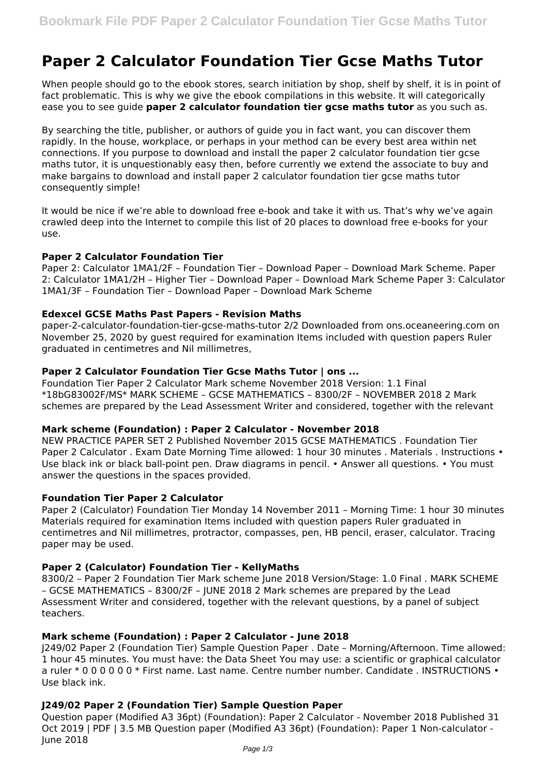# **Paper 2 Calculator Foundation Tier Gcse Maths Tutor**

When people should go to the ebook stores, search initiation by shop, shelf by shelf, it is in point of fact problematic. This is why we give the ebook compilations in this website. It will categorically ease you to see guide **paper 2 calculator foundation tier gcse maths tutor** as you such as.

By searching the title, publisher, or authors of guide you in fact want, you can discover them rapidly. In the house, workplace, or perhaps in your method can be every best area within net connections. If you purpose to download and install the paper 2 calculator foundation tier gcse maths tutor, it is unquestionably easy then, before currently we extend the associate to buy and make bargains to download and install paper 2 calculator foundation tier gcse maths tutor consequently simple!

It would be nice if we're able to download free e-book and take it with us. That's why we've again crawled deep into the Internet to compile this list of 20 places to download free e-books for your use.

### **Paper 2 Calculator Foundation Tier**

Paper 2: Calculator 1MA1/2F – Foundation Tier – Download Paper – Download Mark Scheme. Paper 2: Calculator 1MA1/2H – Higher Tier – Download Paper – Download Mark Scheme Paper 3: Calculator 1MA1/3F – Foundation Tier – Download Paper – Download Mark Scheme

### **Edexcel GCSE Maths Past Papers - Revision Maths**

paper-2-calculator-foundation-tier-gcse-maths-tutor 2/2 Downloaded from ons.oceaneering.com on November 25, 2020 by guest required for examination Items included with question papers Ruler graduated in centimetres and Nil millimetres,

# **Paper 2 Calculator Foundation Tier Gcse Maths Tutor | ons ...**

Foundation Tier Paper 2 Calculator Mark scheme November 2018 Version: 1.1 Final \*18bG83002F/MS\* MARK SCHEME – GCSE MATHEMATICS – 8300/2F – NOVEMBER 2018 2 Mark schemes are prepared by the Lead Assessment Writer and considered, together with the relevant

#### **Mark scheme (Foundation) : Paper 2 Calculator - November 2018**

NEW PRACTICE PAPER SET 2 Published November 2015 GCSE MATHEMATICS . Foundation Tier Paper 2 Calculator . Exam Date Morning Time allowed: 1 hour 30 minutes . Materials . Instructions • Use black ink or black ball-point pen. Draw diagrams in pencil. • Answer all questions. • You must answer the questions in the spaces provided.

# **Foundation Tier Paper 2 Calculator**

Paper 2 (Calculator) Foundation Tier Monday 14 November 2011 – Morning Time: 1 hour 30 minutes Materials required for examination Items included with question papers Ruler graduated in centimetres and Nil millimetres, protractor, compasses, pen, HB pencil, eraser, calculator. Tracing paper may be used.

# **Paper 2 (Calculator) Foundation Tier - KellyMaths**

8300/2 – Paper 2 Foundation Tier Mark scheme June 2018 Version/Stage: 1.0 Final . MARK SCHEME – GCSE MATHEMATICS – 8300/2F – JUNE 2018 2 Mark schemes are prepared by the Lead Assessment Writer and considered, together with the relevant questions, by a panel of subject teachers.

# **Mark scheme (Foundation) : Paper 2 Calculator - June 2018**

J249/02 Paper 2 (Foundation Tier) Sample Question Paper . Date – Morning/Afternoon. Time allowed: 1 hour 45 minutes. You must have: the Data Sheet You may use: a scientific or graphical calculator a ruler \* 0 0 0 0 0 0 \* First name. Last name. Centre number number. Candidate . INSTRUCTIONS • Use black ink.

# **J249/02 Paper 2 (Foundation Tier) Sample Question Paper**

Question paper (Modified A3 36pt) (Foundation): Paper 2 Calculator - November 2018 Published 31 Oct 2019 | PDF | 3.5 MB Question paper (Modified A3 36pt) (Foundation): Paper 1 Non-calculator - June 2018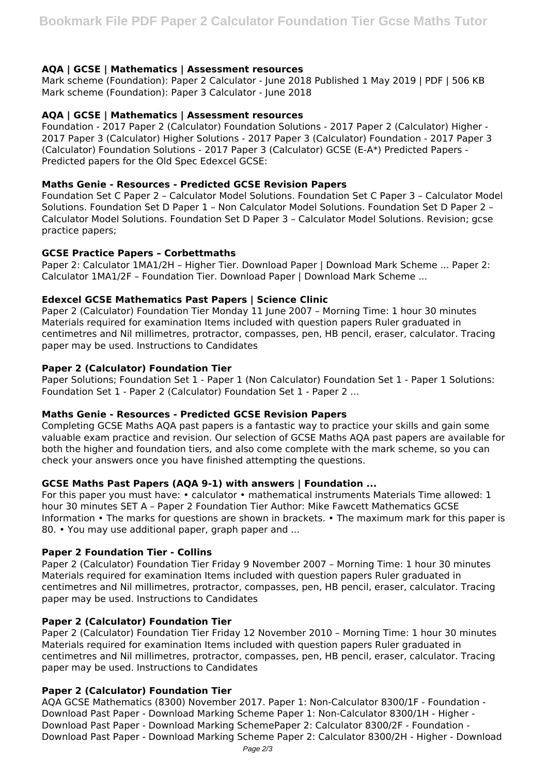# **AQA | GCSE | Mathematics | Assessment resources**

Mark scheme (Foundation): Paper 2 Calculator - June 2018 Published 1 May 2019 | PDF | 506 KB Mark scheme (Foundation): Paper 3 Calculator - June 2018

## **AQA | GCSE | Mathematics | Assessment resources**

Foundation - 2017 Paper 2 (Calculator) Foundation Solutions - 2017 Paper 2 (Calculator) Higher - 2017 Paper 3 (Calculator) Higher Solutions - 2017 Paper 3 (Calculator) Foundation - 2017 Paper 3 (Calculator) Foundation Solutions - 2017 Paper 3 (Calculator) GCSE (E-A\*) Predicted Papers - Predicted papers for the Old Spec Edexcel GCSE:

## **Maths Genie - Resources - Predicted GCSE Revision Papers**

Foundation Set C Paper 2 – Calculator Model Solutions. Foundation Set C Paper 3 – Calculator Model Solutions. Foundation Set D Paper 1 – Non Calculator Model Solutions. Foundation Set D Paper 2 – Calculator Model Solutions. Foundation Set D Paper 3 – Calculator Model Solutions. Revision; gcse practice papers;

### **GCSE Practice Papers – Corbettmaths**

Paper 2: Calculator 1MA1/2H – Higher Tier. Download Paper | Download Mark Scheme ... Paper 2: Calculator 1MA1/2F – Foundation Tier. Download Paper | Download Mark Scheme ...

### **Edexcel GCSE Mathematics Past Papers | Science Clinic**

Paper 2 (Calculator) Foundation Tier Monday 11 June 2007 – Morning Time: 1 hour 30 minutes Materials required for examination Items included with question papers Ruler graduated in centimetres and Nil millimetres, protractor, compasses, pen, HB pencil, eraser, calculator. Tracing paper may be used. Instructions to Candidates

### **Paper 2 (Calculator) Foundation Tier**

Paper Solutions; Foundation Set 1 - Paper 1 (Non Calculator) Foundation Set 1 - Paper 1 Solutions: Foundation Set 1 - Paper 2 (Calculator) Foundation Set 1 - Paper 2 ...

# **Maths Genie - Resources - Predicted GCSE Revision Papers**

Completing GCSE Maths AQA past papers is a fantastic way to practice your skills and gain some valuable exam practice and revision. Our selection of GCSE Maths AQA past papers are available for both the higher and foundation tiers, and also come complete with the mark scheme, so you can check your answers once you have finished attempting the questions.

#### **GCSE Maths Past Papers (AQA 9-1) with answers | Foundation ...**

For this paper you must have: • calculator • mathematical instruments Materials Time allowed: 1 hour 30 minutes SET A – Paper 2 Foundation Tier Author: Mike Fawcett Mathematics GCSE Information • The marks for questions are shown in brackets. • The maximum mark for this paper is 80. • You may use additional paper, graph paper and ...

# **Paper 2 Foundation Tier - Collins**

Paper 2 (Calculator) Foundation Tier Friday 9 November 2007 – Morning Time: 1 hour 30 minutes Materials required for examination Items included with question papers Ruler graduated in centimetres and Nil millimetres, protractor, compasses, pen, HB pencil, eraser, calculator. Tracing paper may be used. Instructions to Candidates

#### **Paper 2 (Calculator) Foundation Tier**

Paper 2 (Calculator) Foundation Tier Friday 12 November 2010 – Morning Time: 1 hour 30 minutes Materials required for examination Items included with question papers Ruler graduated in centimetres and Nil millimetres, protractor, compasses, pen, HB pencil, eraser, calculator. Tracing paper may be used. Instructions to Candidates

# **Paper 2 (Calculator) Foundation Tier**

AQA GCSE Mathematics (8300) November 2017. Paper 1: Non-Calculator 8300/1F - Foundation - Download Past Paper - Download Marking Scheme Paper 1: Non-Calculator 8300/1H - Higher - Download Past Paper - Download Marking SchemePaper 2: Calculator 8300/2F - Foundation - Download Past Paper - Download Marking Scheme Paper 2: Calculator 8300/2H - Higher - Download